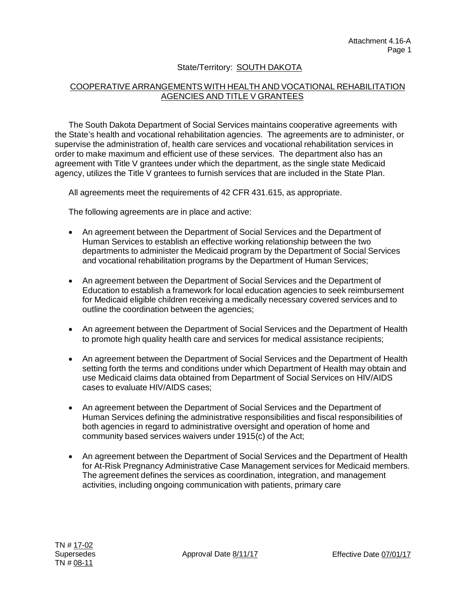## State/Territory: SOUTH DAKOTA

## COOPERATIVE ARRANGEMENTS WITH HEALTH AND VOCATIONAL REHABILITATION AGENCIES AND TITLE V GRANTEES

The South Dakota Department of Social Services maintains cooperative agreements with the State's health and vocational rehabilitation agencies. The agreements are to administer, or supervise the administration of, health care services and vocational rehabilitation services in order to make maximum and efficient use of these services. The department also has an agreement with Title V grantees under which the department, as the single state Medicaid agency, utilizes the Title V grantees to furnish services that are included in the State Plan.

All agreements meet the requirements of 42 CFR 431.615, as appropriate.

The following agreements are in place and active:

- An agreement between the Department of Social Services and the Department of Human Services to establish an effective working relationship between the two departments to administer the Medicaid program by the Department of Social Services and vocational rehabilitation programs by the Department of Human Services;
- An agreement between the Department of Social Services and the Department of Education to establish a framework for local education agencies to seek reimbursement for Medicaid eligible children receiving a medically necessary covered services and to outline the coordination between the agencies;
- An agreement between the Department of Social Services and the Department of Health to promote high quality health care and services for medical assistance recipients;
- An agreement between the Department of Social Services and the Department of Health setting forth the terms and conditions under which Department of Health may obtain and use Medicaid claims data obtained from Department of Social Services on HIV/AIDS cases to evaluate HIV/AIDS cases;
- An agreement between the Department of Social Services and the Department of Human Services defining the administrative responsibilities and fiscal responsibilities of both agencies in regard to administrative oversight and operation of home and community based services waivers under 1915(c) of the Act;
- An agreement between the Department of Social Services and the Department of Health for At-Risk Pregnancy Administrative Case Management services for Medicaid members. The agreement defines the services as coordination, integration, and management activities, including ongoing communication with patients, primary care